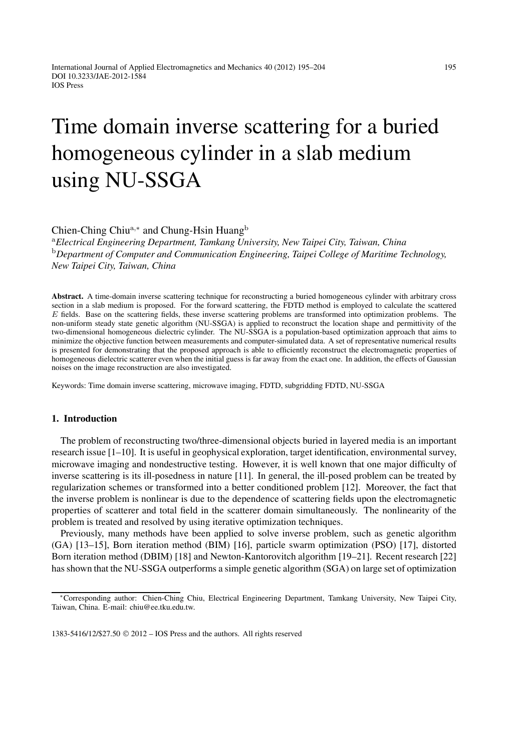# Time domain inverse scattering for a buried homogeneous cylinder in a slab medium using NU-SSGA

# Chien-Ching Chiu<sup>a</sup>*,*<sup>∗</sup> and Chung-Hsin Huang<sup>b</sup>

<sup>a</sup>*Electrical Engineering Department, Tamkang University, New Taipei City, Taiwan, China* <sup>b</sup>*Department of Computer and Communication Engineering, Taipei College of Maritime Technology, New Taipei City, Taiwan, China*

**Abstract.** A time-domain inverse scattering technique for reconstructing a buried homogeneous cylinder with arbitrary cross section in a slab medium is proposed. For the forward scattering, the FDTD method is employed to calculate the scattered E fields. Base on the scattering fields, these inverse scattering problems are transformed into optimization problems. The non-uniform steady state genetic algorithm (NU-SSGA) is applied to reconstruct the location shape and permittivity of the two-dimensional homogeneous dielectric cylinder. The NU-SSGA is a population-based optimization approach that aims to minimize the objective function between measurements and computer-simulated data. A set of representative numerical results is presented for demonstrating that the proposed approach is able to efficiently reconstruct the electromagnetic properties of homogeneous dielectric scatterer even when the initial guess is far away from the exact one. In addition, the effects of Gaussian noises on the image reconstruction are also investigated.

Keywords: Time domain inverse scattering, microwave imaging, FDTD, subgridding FDTD, NU-SSGA

### **1. Introduction**

The problem of reconstructing two/three-dimensional objects buried in layered media is an important research issue [1–10]. It is useful in geophysical exploration, target identification, environmental survey, microwave imaging and nondestructive testing. However, it is well known that one major difficulty of inverse scattering is its ill-posedness in nature [11]. In general, the ill-posed problem can be treated by regularization schemes or transformed into a better conditioned problem [12]. Moreover, the fact that the inverse problem is nonlinear is due to the dependence of scattering fields upon the electromagnetic properties of scatterer and total field in the scatterer domain simultaneously. The nonlinearity of the problem is treated and resolved by using iterative optimization techniques.

Previously, many methods have been applied to solve inverse problem, such as genetic algorithm (GA) [13–15], Born iteration method (BIM) [16], particle swarm optimization (PSO) [17], distorted Born iteration method (DBIM) [18] and Newton-Kantorovitch algorithm [19–21]. Recent research [22] has shown that the NU-SSGA outperforms a simple genetic algorithm (SGA) on large set of optimization

<sup>∗</sup>Corresponding author: Chien-Ching Chiu, Electrical Engineering Department, Tamkang University, New Taipei City, Taiwan, China. E-mail: chiu@ee.tku.edu.tw.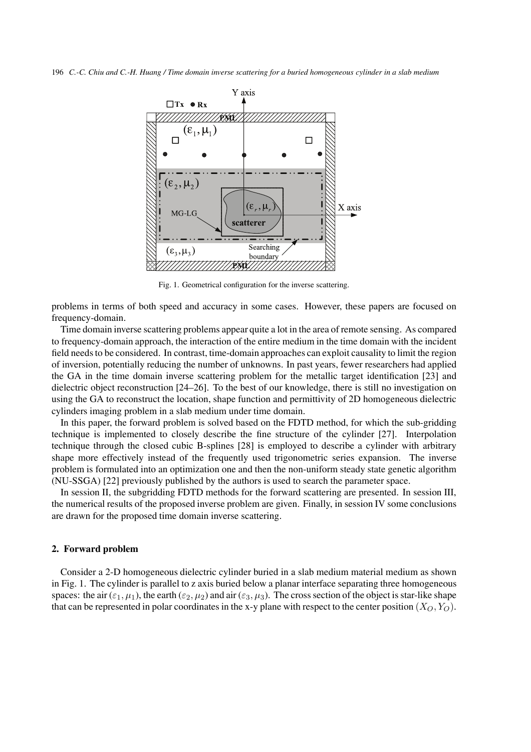196 *C.-C. Chiu and C.-H. Huang / Time domain inverse scattering for a buried homogeneous cylinder in a slab medium*



Fig. 1. Geometrical configuration for the inverse scattering.

problems in terms of both speed and accuracy in some cases. However, these papers are focused on frequency-domain.

Time domain inverse scattering problems appear quite a lot in the area of remote sensing. As compared to frequency-domain approach, the interaction of the entire medium in the time domain with the incident field needs to be considered. In contrast, time-domain approaches can exploit causality to limit the region of inversion, potentially reducing the number of unknowns. In past years, fewer researchers had applied the GA in the time domain inverse scattering problem for the metallic target identification [23] and dielectric object reconstruction [24–26]. To the best of our knowledge, there is still no investigation on using the GA to reconstruct the location, shape function and permittivity of 2D homogeneous dielectric cylinders imaging problem in a slab medium under time domain.

In this paper, the forward problem is solved based on the FDTD method, for which the sub-gridding technique is implemented to closely describe the fine structure of the cylinder [27]. Interpolation technique through the closed cubic B-splines [28] is employed to describe a cylinder with arbitrary shape more effectively instead of the frequently used trigonometric series expansion. The inverse problem is formulated into an optimization one and then the non-uniform steady state genetic algorithm (NU-SSGA) [22] previously published by the authors is used to search the parameter space.

In session II, the subgridding FDTD methods for the forward scattering are presented. In session III, the numerical results of the proposed inverse problem are given. Finally, in session IV some conclusions are drawn for the proposed time domain inverse scattering.

## **2. Forward problem**

Consider a 2-D homogeneous dielectric cylinder buried in a slab medium material medium as shown in Fig. 1. The cylinder is parallel to z axis buried below a planar interface separating three homogeneous spaces: the air ( $\varepsilon_1, \mu_1$ ), the earth ( $\varepsilon_2, \mu_2$ ) and air ( $\varepsilon_3, \mu_3$ ). The cross section of the object is star-like shape that can be represented in polar coordinates in the x-y plane with respect to the center position  $(X_O, Y_O)$ .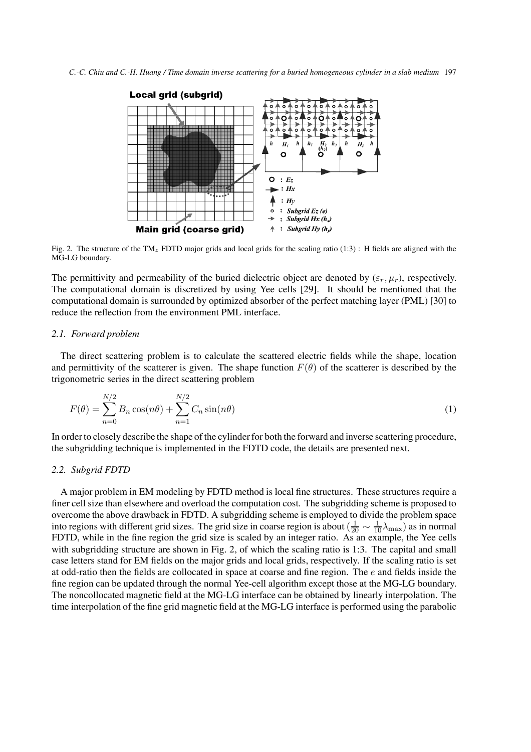*C.-C. Chiu and C.-H. Huang / Time domain inverse scattering for a buried homogeneous cylinder in a slab medium* 197



Fig. 2. The structure of the TM*<sup>z</sup>* FDTD major grids and local grids for the scaling ratio (1:3) : H fields are aligned with the MG-LG boundary.

The permittivity and permeability of the buried dielectric object are denoted by  $(\varepsilon_r, \mu_r)$ , respectively. The computational domain is discretized by using Yee cells [29]. It should be mentioned that the computational domain is surrounded by optimized absorber of the perfect matching layer (PML) [30] to reduce the reflection from the environment PML interface.

## *2.1. Forward problem*

The direct scattering problem is to calculate the scattered electric fields while the shape, location and permittivity of the scatterer is given. The shape function  $F(\theta)$  of the scatterer is described by the trigonometric series in the direct scattering problem

$$
F(\theta) = \sum_{n=0}^{N/2} B_n \cos(n\theta) + \sum_{n=1}^{N/2} C_n \sin(n\theta)
$$
 (1)

In order to closely describe the shape of the cylinder for both the forward and inverse scattering procedure, the subgridding technique is implemented in the FDTD code, the details are presented next.

# *2.2. Subgrid FDTD*

A major problem in EM modeling by FDTD method is local fine structures. These structures require a finer cell size than elsewhere and overload the computation cost. The subgridding scheme is proposed to overcome the above drawback in FDTD. A subgridding scheme is employed to divide the problem space into regions with different grid sizes. The grid size in coarse region is about  $(\frac{1}{20} \sim \frac{1}{10} \lambda_{\text{max}})$  as in normal<br>FDTD, while in the fine region the grid size is scaled by an integer ratio. As an example, the Yee FDTD, while in the fine region the grid size is scaled by an integer ratio. As an example, the Yee cells with subgridding structure are shown in Fig. 2, of which the scaling ratio is 1:3. The capital and small case letters stand for EM fields on the major grids and local grids, respectively. If the scaling ratio is set at odd-ratio then the fields are collocated in space at coarse and fine region. The e and fields inside the fine region can be updated through the normal Yee-cell algorithm except those at the MG-LG boundary. The noncollocated magnetic field at the MG-LG interface can be obtained by linearly interpolation. The time interpolation of the fine grid magnetic field at the MG-LG interface is performed using the parabolic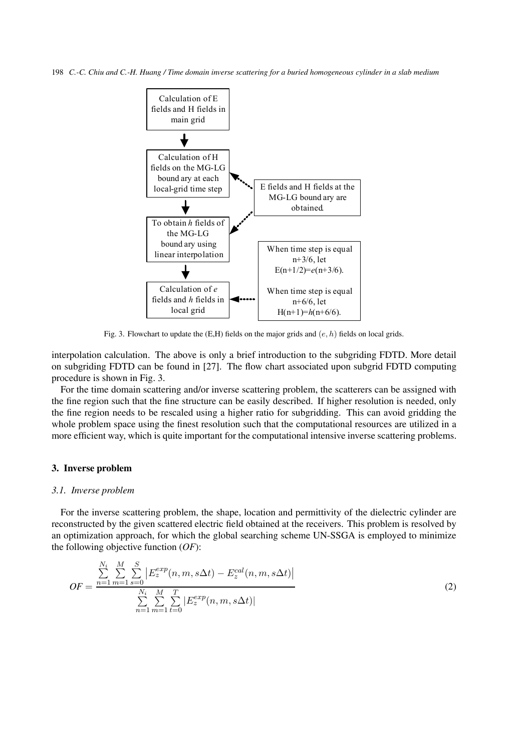198 *C.-C. Chiu and C.-H. Huang / Time domain inverse scattering for a buried homogeneous cylinder in a slab medium*



Fig. 3. Flowchart to update the  $(E,H)$  fields on the major grids and  $(e, h)$  fields on local grids.

interpolation calculation. The above is only a brief introduction to the subgriding FDTD. More detail on subgriding FDTD can be found in [27]. The flow chart associated upon subgrid FDTD computing procedure is shown in Fig. 3.

For the time domain scattering and/or inverse scattering problem, the scatterers can be assigned with the fine region such that the fine structure can be easily described. If higher resolution is needed, only the fine region needs to be rescaled using a higher ratio for subgridding. This can avoid gridding the whole problem space using the finest resolution such that the computational resources are utilized in a more efficient way, which is quite important for the computational intensive inverse scattering problems.

## **3. Inverse problem**

#### *3.1. Inverse problem*

For the inverse scattering problem, the shape, location and permittivity of the dielectric cylinder are reconstructed by the given scattered electric field obtained at the receivers. This problem is resolved by an optimization approach, for which the global searching scheme UN-SSGA is employed to minimize the following objective function (*OF*):

$$
OF = \frac{\sum_{n=1}^{N_i} \sum_{m=1}^{M} \sum_{s=0}^{S} \left| E_z^{exp}(n, m, s\Delta t) - E_z^{cal}(n, m, s\Delta t) \right|}{\sum_{n=1}^{N_i} \sum_{m=1}^{M} \sum_{t=0}^{T} \left| E_z^{exp}(n, m, s\Delta t) \right|}
$$
(2)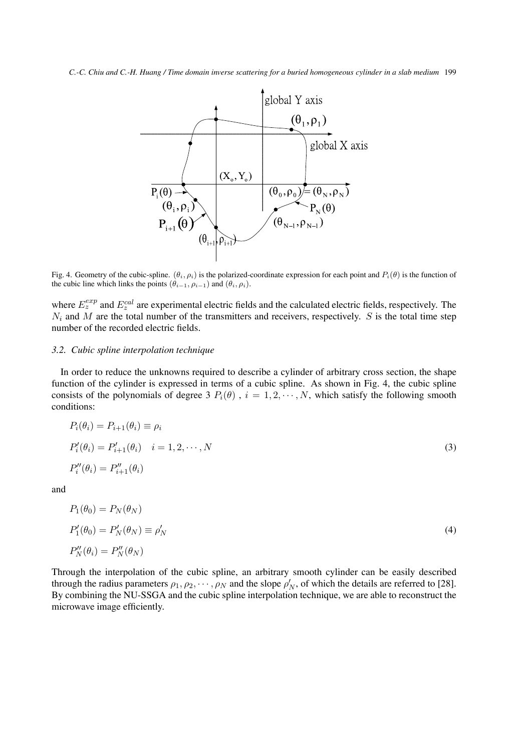*C.-C. Chiu and C.-H. Huang / Time domain inverse scattering for a buried homogeneous cylinder in a slab medium* 199



Fig. 4. Geometry of the cubic-spline.  $(\theta_i, \rho_i)$  is the polarized-coordinate expression for each point and  $P_i(\theta)$  is the function of the cubic line which links the points  $(\hat{\theta}_{i-1}, \hat{\rho}_{i-1})$  and  $(\hat{\theta}_i, \hat{\rho}_i)$ .

where  $E_z^{exp}$  and  $E_z^{cal}$  are experimental electric fields and the calculated electric fields, respectively. The  $N_c$  and  $M$  are the total number of the transmitters and receivers, respectively. S is the total time step  $N_i$  and M are the total number of the transmitters and receivers, respectively. S is the total time step<br>number of the recorded electric fields number of the recorded electric fields.

## *3.2. Cubic spline interpolation technique*

In order to reduce the unknowns required to describe a cylinder of arbitrary cross section, the shape function of the cylinder is expressed in terms of a cubic spline. As shown in Fig. 4, the cubic spline consists of the polynomials of degree 3  $P_i(\theta)$ ,  $i = 1, 2, \dots, N$ , which satisfy the following smooth conditions:

$$
P_i(\theta_i) = P_{i+1}(\theta_i) \equiv \rho_i
$$
  
\n
$$
P'_i(\theta_i) = P'_{i+1}(\theta_i) \quad i = 1, 2, \cdots, N
$$
  
\n
$$
P''_i(\theta_i) = P''_{i+1}(\theta_i)
$$
\n(3)

and

$$
P_1(\theta_0) = P_N(\theta_N)
$$
  
\n
$$
P'_1(\theta_0) = P'_N(\theta_N) \equiv \rho'_N
$$
  
\n
$$
P''_N(\theta_i) = P''_N(\theta_N)
$$
\n(4)

Through the interpolation of the cubic spline, an arbitrary smooth cylinder can be easily described through the radius parameters  $\rho_1, \rho_2, \dots, \rho_N$  and the slope  $\rho'_N$ , of which the details are referred to [28].<br>By combining the NH-SSGA and the cubic spline interpolation technique, we are able to reconstruct the By combining the NU-SSGA and the cubic spline interpolation technique, we are able to reconstruct the microwave image efficiently.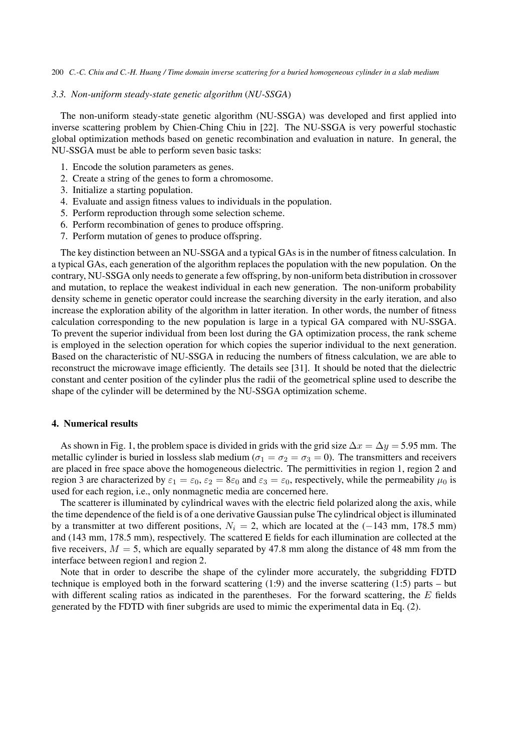#### 200 *C.-C. Chiu and C.-H. Huang / Time domain inverse scattering for a buried homogeneous cylinder in a slab medium*

#### *3.3. Non-uniform steady-state genetic algorithm* (*NU-SSGA*)

The non-uniform steady-state genetic algorithm (NU-SSGA) was developed and first applied into inverse scattering problem by Chien-Ching Chiu in [22]. The NU-SSGA is very powerful stochastic global optimization methods based on genetic recombination and evaluation in nature. In general, the NU-SSGA must be able to perform seven basic tasks:

- 1. Encode the solution parameters as genes.
- 2. Create a string of the genes to form a chromosome.
- 3. Initialize a starting population.
- 4. Evaluate and assign fitness values to individuals in the population.
- 5. Perform reproduction through some selection scheme.
- 6. Perform recombination of genes to produce offspring.
- 7. Perform mutation of genes to produce offspring.

The key distinction between an NU-SSGA and a typical GAs is in the number of fitness calculation. In a typical GAs, each generation of the algorithm replaces the population with the new population. On the contrary, NU-SSGA only needs to generate a few offspring, by non-uniform beta distribution in crossover and mutation, to replace the weakest individual in each new generation. The non-uniform probability density scheme in genetic operator could increase the searching diversity in the early iteration, and also increase the exploration ability of the algorithm in latter iteration. In other words, the number of fitness calculation corresponding to the new population is large in a typical GA compared with NU-SSGA. To prevent the superior individual from been lost during the GA optimization process, the rank scheme is employed in the selection operation for which copies the superior individual to the next generation. Based on the characteristic of NU-SSGA in reducing the numbers of fitness calculation, we are able to reconstruct the microwave image efficiently. The details see [31]. It should be noted that the dielectric constant and center position of the cylinder plus the radii of the geometrical spline used to describe the shape of the cylinder will be determined by the NU-SSGA optimization scheme.

#### **4. Numerical results**

As shown in Fig. 1, the problem space is divided in grids with the grid size  $\Delta x = \Delta y = 5.95$  mm. The metallic cylinder is buried in lossless slab medium ( $\sigma_1 = \sigma_2 = \sigma_3 = 0$ ). The transmitters and receivers are placed in free space above the homogeneous dielectric. The permittivities in region 1, region 2 and region 3 are characterized by  $\varepsilon_1 = \varepsilon_0$ ,  $\varepsilon_2 = 8\varepsilon_0$  and  $\varepsilon_3 = \varepsilon_0$ , respectively, while the permeability  $\mu_0$  is used for each region, i.e., only nonmagnetic media are concerned here.

The scatterer is illuminated by cylindrical waves with the electric field polarized along the axis, while the time dependence of the field is of a one derivative Gaussian pulse The cylindrical object is illuminated by a transmitter at two different positions,  $N_i = 2$ , which are located at the (−143 mm, 178.5 mm) and (143 mm, 178.5 mm), respectively. The scattered E fields for each illumination are collected at the five receivers,  $M = 5$ , which are equally separated by 47.8 mm along the distance of 48 mm from the interface between region1 and region 2.

Note that in order to describe the shape of the cylinder more accurately, the subgridding FDTD technique is employed both in the forward scattering (1:9) and the inverse scattering (1:5) parts – but with different scaling ratios as indicated in the parentheses. For the forward scattering, the  $E$  fields generated by the FDTD with finer subgrids are used to mimic the experimental data in Eq. (2).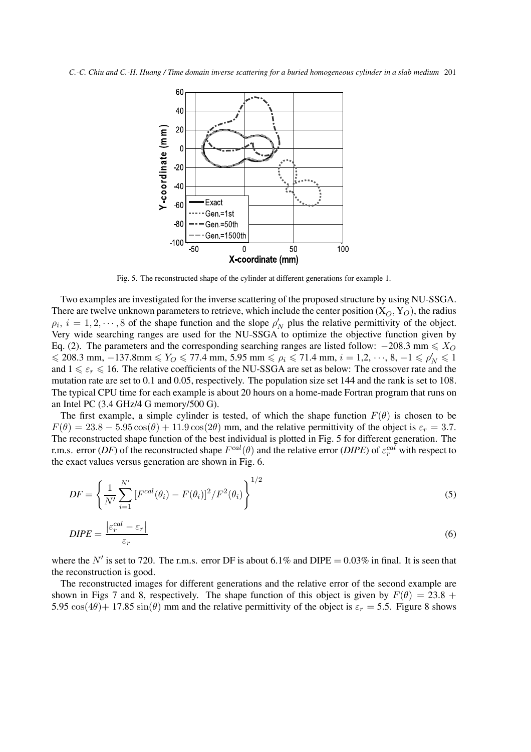

Fig. 5. The reconstructed shape of the cylinder at different generations for example 1.

Two examples are investigated for the inverse scattering of the proposed structure by using NU-SSGA. There are twelve unknown parameters to retrieve, which include the center position  $(X_O, Y_O)$ , the radius  $\alpha_i = 1, 2, \ldots, 8$  of the shape function and the slope  $\alpha'$ , plus the relative permittivity of the object  $\rho_i$ ,  $i = 1, 2, \dots, 8$  of the shape function and the slope  $\rho'_N$  plus the relative permittivity of the object.<br>Very wide searching ranges are used for the NH-SSGA to optimize the objective function given by Very wide searching ranges are used for the NU-SSGA to optimize the objective function given by Eq. (2). The parameters and the corresponding searching ranges are listed follow:  $-208.3$  mm  $\leq X_O$ <br> $\leq 208.3$  mm  $-137.8$  mm  $\leq X_O$   $\leq 77.4$  mm  $5.95$  mm  $\leq 0.6$   $\leq 71.4$  mm  $i = 1.2$  $\leq 208.3$  mm, −137.8mm  $\leq Y_O \leq 77.4$  mm, 5.95 mm  $\leq \rho_i \leq 71.4$  mm,  $i = 1, 2, \dots, 8, -1 \leq \rho'_N \leq 1$ <br>and  $1 \leq \varepsilon \leq 16$ . The relative coefficients of the NU-SSGA are set as below: The crossover rate and the and  $1 \leq \varepsilon_r \leq 16$ . The relative coefficients of the NU-SSGA are set as below: The crossover rate and the mutation rate are set to 0.1 and 0.05, respectively. The population size set 144 and the rank is set to 108. mutation rate are set to 0.1 and 0.05, respectively. The population size set 144 and the rank is set to 108. The typical CPU time for each example is about 20 hours on a home-made Fortran program that runs on an Intel PC (3.4 GHz/4 G memory/500 G).

The first example, a simple cylinder is tested, of which the shape function  $F(\theta)$  is chosen to be  $F(\theta) = 23.8 - 5.95 \cos(\theta) + 11.9 \cos(2\theta)$  mm, and the relative permittivity of the object is  $\varepsilon_r = 3.7$ . The reconstructed shape function of the best individual is plotted in Fig. 5 for different generation. The r.m.s. error (*DF*) of the reconstructed shape  $F^{cal}(\theta)$  and the relative error (*DIPE*) of  $\varepsilon_r^{cal}$  with respect to the exact values versus generation are shown in Fig. 6. the exact values versus generation are shown in Fig. 6.

$$
DF = \left\{ \frac{1}{N'} \sum_{i=1}^{N'} \left[ F^{cal}(\theta_i) - F(\theta_i) \right]^2 / F^2(\theta_i) \right\}^{1/2}
$$
\n<sup>(5)</sup>

$$
DIPE = \frac{\left|\varepsilon_r^{cal} - \varepsilon_r\right|}{\varepsilon_r} \tag{6}
$$

where the N' is set to 720. The r.m.s. error DF is about 6.1% and DIPE =  $0.03\%$  in final. It is seen that the reconstruction is good.

The reconstructed images for different generations and the relative error of the second example are shown in Figs 7 and 8, respectively. The shape function of this object is given by  $F(\theta) = 23.8 +$ 5.95  $\cos(4\theta)$  + 17.85  $\sin(\theta)$  mm and the relative permittivity of the object is  $\varepsilon_r = 5.5$ . Figure 8 shows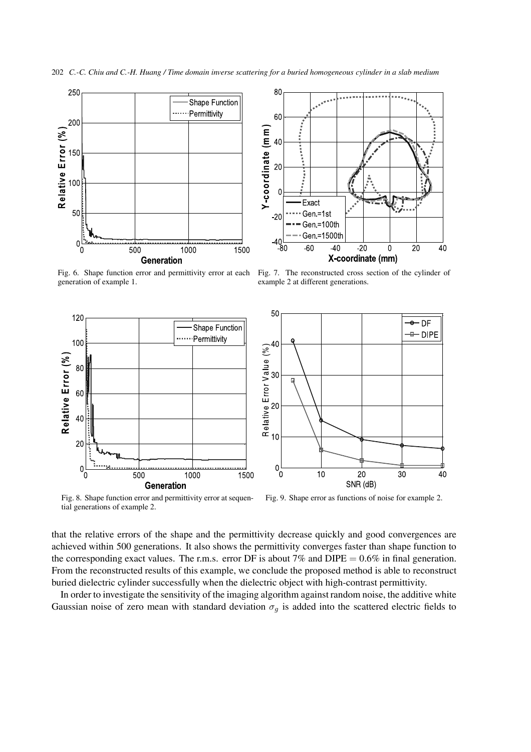202 *C.-C. Chiu and C.-H. Huang / Time domain inverse scattering for a buried homogeneous cylinder in a slab medium*





example 2 at different generations.

Fig. 6. Shape function error and permittivity error at each generation of example 1.



Fig. 8. Shape function error and permittivity error at sequential generations of example 2.

Fig. 9. Shape error as functions of noise for example 2.

that the relative errors of the shape and the permittivity decrease quickly and good convergences are achieved within 500 generations. It also shows the permittivity converges faster than shape function to the corresponding exact values. The r.m.s. error DF is about 7% and DIPE  $= 0.6\%$  in final generation. From the reconstructed results of this example, we conclude the proposed method is able to reconstruct buried dielectric cylinder successfully when the dielectric object with high-contrast permittivity.

In order to investigate the sensitivity of the imaging algorithm against random noise, the additive white Gaussian noise of zero mean with standard deviation  $\sigma_g$  is added into the scattered electric fields to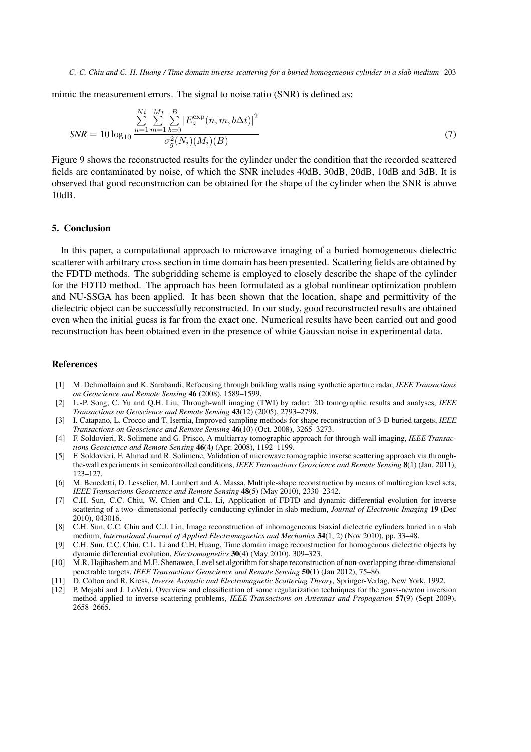mimic the measurement errors. The signal to noise ratio (SNR) is defined as:

$$
SNR = 10 \log_{10} \frac{\sum_{n=1}^{Ni} \sum_{m=1}^{Mi} \sum_{b=0}^{B} |E_z^{\exp}(n, m, b\Delta t)|^2}{\sigma_g^2(N_i)(M_i)(B)}
$$
(7)

Figure 9 shows the reconstructed results for the cylinder under the condition that the recorded scattered fields are contaminated by noise, of which the SNR includes 40dB, 30dB, 20dB, 10dB and 3dB. It is observed that good reconstruction can be obtained for the shape of the cylinder when the SNR is above 10dB.

#### **5. Conclusion**

In this paper, a computational approach to microwave imaging of a buried homogeneous dielectric scatterer with arbitrary cross section in time domain has been presented. Scattering fields are obtained by the FDTD methods. The subgridding scheme is employed to closely describe the shape of the cylinder for the FDTD method. The approach has been formulated as a global nonlinear optimization problem and NU-SSGA has been applied. It has been shown that the location, shape and permittivity of the dielectric object can be successfully reconstructed. In our study, good reconstructed results are obtained even when the initial guess is far from the exact one. Numerical results have been carried out and good reconstruction has been obtained even in the presence of white Gaussian noise in experimental data.

## **References**

- [1] M. Dehmollaian and K. Sarabandi, Refocusing through building walls using synthetic aperture radar, *IEEE Transactions on Geoscience and Remote Sensing* **46** (2008), 1589–1599.
- [2] L.-P. Song, C. Yu and Q.H. Liu, Through-wall imaging (TWI) by radar: 2D tomographic results and analyses, *IEEE Transactions on Geoscience and Remote Sensing* **43**(12) (2005), 2793–2798.
- [3] I. Catapano, L. Crocco and T. Isernia, Improved sampling methods for shape reconstruction of 3-D buried targets, *IEEE Transactions on Geoscience and Remote Sensing* **46**(10) (Oct. 2008), 3265–3273.
- [4] F. Soldovieri, R. Solimene and G. Prisco, A multiarray tomographic approach for through-wall imaging, *IEEE Transactions Geoscience and Remote Sensing* **46**(4) (Apr. 2008), 1192–1199.
- [5] F. Soldovieri, F. Ahmad and R. Solimene, Validation of microwave tomographic inverse scattering approach via throughthe-wall experiments in semicontrolled conditions, *IEEE Transactions Geoscience and Remote Sensing* **8**(1) (Jan. 2011), 123–127.
- [6] M. Benedetti, D. Lesselier, M. Lambert and A. Massa, Multiple-shape reconstruction by means of multiregion level sets, *IEEE Transactions Geoscience and Remote Sensing* **48**(5) (May 2010), 2330–2342.
- [7] C.H. Sun, C.C. Chiu, W. Chien and C.L. Li, Application of FDTD and dynamic differential evolution for inverse scattering of a two- dimensional perfectly conducting cylinder in slab medium, *Journal of Electronic Imaging* **19** (Dec 2010), 043016.
- [8] C.H. Sun, C.C. Chiu and C.J. Lin, Image reconstruction of inhomogeneous biaxial dielectric cylinders buried in a slab medium, *International Journal of Applied Electromagnetics and Mechanics* **34**(1, 2) (Nov 2010), pp. 33–48.
- [9] C.H. Sun, C.C. Chiu, C.L. Li and C.H. Huang, Time domain image reconstruction for homogenous dielectric objects by dynamic differential evolution, *Electromagnetics* **30**(4) (May 2010), 309–323.
- [10] M.R. Hajihashem and M.E. Shenawee, Level set algorithm for shape reconstruction of non-overlapping three-dimensional penetrable targets, *IEEE Transactions Geoscience and Remote Sensing* **50**(1) (Jan 2012), 75–86.
- [11] D. Colton and R. Kress, *Inverse Acoustic and Electromagnetic Scattering Theory*, Springer-Verlag, New York, 1992.
- [12] P. Mojabi and J. LoVetri, Overview and classification of some regularization techniques for the gauss-newton inversion method applied to inverse scattering problems, *IEEE Transactions on Antennas and Propagation* **57**(9) (Sept 2009), 2658–2665.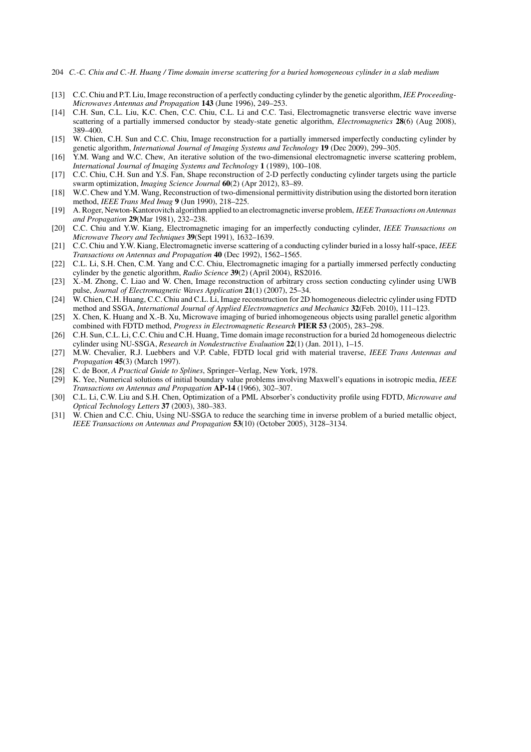- 204 *C.-C. Chiu and C.-H. Huang / Time domain inverse scattering for a buried homogeneous cylinder in a slab medium*
- [13] C.C. Chiu and P.T. Liu, Image reconstruction of a perfectly conducting cylinder by the genetic algorithm, *IEE Proceeding-Microwaves Antennas and Propagation* **143** (June 1996), 249–253.
- [14] C.H. Sun, C.L. Liu, K.C. Chen, C.C. Chiu, C.L. Li and C.C. Tasi, Electromagnetic transverse electric wave inverse scattering of a partially immersed conductor by steady-state genetic algorithm, *Electromagnetics* **28**(6) (Aug 2008), 389–400.
- [15] W. Chien, C.H. Sun and C.C. Chiu, Image reconstruction for a partially immersed imperfectly conducting cylinder by genetic algorithm, *International Journal of Imaging Systems and Technology* **19** (Dec 2009), 299–305.
- [16] Y.M. Wang and W.C. Chew, An iterative solution of the two-dimensional electromagnetic inverse scattering problem, *International Journal of Imaging Systems and Technology* **1** (1989), 100–108.
- [17] C.C. Chiu, C.H. Sun and Y.S. Fan, Shape reconstruction of 2-D perfectly conducting cylinder targets using the particle swarm optimization, *Imaging Science Journal* **60**(2) (Apr 2012), 83–89.
- [18] W.C. Chew and Y.M. Wang, Reconstruction of two-dimensional permittivity distribution using the distorted born iteration method, *IEEE Trans Med Imag* **9** (Jun 1990), 218–225.
- [19] A. Roger, Newton-Kantorovitch algorithm applied to an electromagnetic inverse problem, *IEEE Transactions on Antennas and Propagation* **29**(Mar 1981), 232–238.
- [20] C.C. Chiu and Y.W. Kiang, Electromagnetic imaging for an imperfectly conducting cylinder, *IEEE Transactions on Microwave Theory and Techniques* **39**(Sept 1991), 1632–1639.
- [21] C.C. Chiu and Y.W. Kiang, Electromagnetic inverse scattering of a conducting cylinder buried in a lossy half-space, *IEEE Transactions on Antennas and Propagation* **40** (Dec 1992), 1562–1565.
- [22] C.L. Li, S.H. Chen, C.M. Yang and C.C. Chiu, Electromagnetic imaging for a partially immersed perfectly conducting cylinder by the genetic algorithm, *Radio Science* **39**(2) (April 2004), RS2016.
- [23] X.-M. Zhong, C. Liao and W. Chen, Image reconstruction of arbitrary cross section conducting cylinder using UWB pulse, *Journal of Electromagnetic Waves Application* **21**(1) (2007), 25–34.
- [24] W. Chien, C.H. Huang, C.C. Chiu and C.L. Li, Image reconstruction for 2D homogeneous dielectric cylinder using FDTD method and SSGA, *International Journal of Applied Electromagnetics and Mechanics* **32**(Feb. 2010), 111–123.
- [25] X. Chen, K. Huang and X.-B. Xu, Microwave imaging of buried inhomogeneous objects using parallel genetic algorithm combined with FDTD method, *Progress in Electromagnetic Research* **PIER 53** (2005), 283–298.
- [26] C.H. Sun, C.L. Li, C.C. Chiu and C.H. Huang, Time domain image reconstruction for a buried 2d homogeneous dielectric cylinder using NU-SSGA, *Research in Nondestructive Evaluation* **22**(1) (Jan. 2011), 1–15.
- [27] M.W. Chevalier, R.J. Luebbers and V.P. Cable, FDTD local grid with material traverse, *IEEE Trans Antennas and Propagation* **45**(3) (March 1997).
- [28] C. de Boor, *A Practical Guide to Splines*, Springer–Verlag, New York, 1978.
- [29] K. Yee, Numerical solutions of initial boundary value problems involving Maxwell's equations in isotropic media, *IEEE Transactions on Antennas and Propagation* **AP-14** (1966), 302–307.
- [30] C.L. Li, C.W. Liu and S.H. Chen, Optimization of a PML Absorber's conductivity profile using FDTD, *Microwave and Optical Technology Letters* **37** (2003), 380–383.
- [31] W. Chien and C.C. Chiu, Using NU-SSGA to reduce the searching time in inverse problem of a buried metallic object, *IEEE Transactions on Antennas and Propagation* **53**(10) (October 2005), 3128–3134.